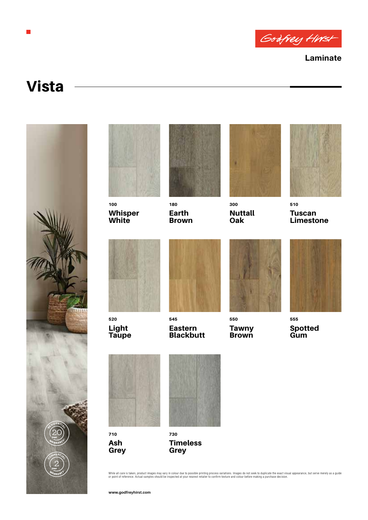

**Laminate**

## Vista

П





100 Whisper **White** 



180 Earth Brown



300 **Nuttall Oak** 



510 Tuscan Limestone



520 Light **Taupe** 



545 Eastern **Blackbutt** 



550 **Tawny Brown** 



555 Spotted **Gum** 



710 Ash Grey



730 **Timeless Grey** 

While all care is taken, product images may vary in colour due to possible printing process variations. Images do not seek to duplicate the exact visual appearance, but serve merely as a guide<br>or point of reference. Actual

**www.godfreyhirst.com**